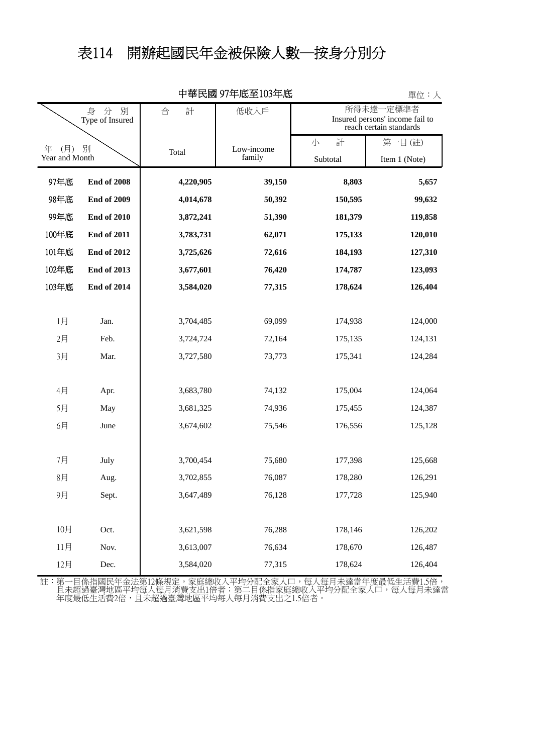## 表114 開辦起國民年金被保險人數─按身分別分

| 半氏図 フ/艹/ムメ土ロソナナ/ムメ<br>早1½・人    |                    |           |                      |                                                                         |               |  |  |  |  |  |
|--------------------------------|--------------------|-----------|----------------------|-------------------------------------------------------------------------|---------------|--|--|--|--|--|
| 分<br>別<br>身<br>Type of Insured |                    | 合<br>計    | 低收入戶                 | 所得未達一定標準者<br>Insured persons' income fail to<br>reach certain standards |               |  |  |  |  |  |
| 年<br>(月)<br>別                  |                    | Total     | Low-income<br>family | 計<br>小                                                                  | 第一目(註)        |  |  |  |  |  |
| Year and Month                 |                    |           |                      | Subtotal                                                                | Item 1 (Note) |  |  |  |  |  |
| 97年底                           | <b>End of 2008</b> | 4,220,905 | 39,150               | 8,803                                                                   | 5,657         |  |  |  |  |  |
| 98年底                           | <b>End of 2009</b> | 4,014,678 | 50,392               | 150,595                                                                 | 99,632        |  |  |  |  |  |
| 99年底                           | <b>End of 2010</b> | 3,872,241 | 51,390               | 181,379                                                                 | 119,858       |  |  |  |  |  |
| 100年底                          | <b>End of 2011</b> | 3,783,731 | 62,071               | 175,133                                                                 | 120,010       |  |  |  |  |  |
| 101年底                          | <b>End of 2012</b> | 3,725,626 | 72,616               | 184,193                                                                 | 127,310       |  |  |  |  |  |
| 102年底                          | <b>End of 2013</b> | 3,677,601 | 76,420               | 174,787                                                                 | 123,093       |  |  |  |  |  |
| 103年底                          | <b>End of 2014</b> | 3,584,020 | 77,315               | 178,624                                                                 | 126,404       |  |  |  |  |  |
|                                |                    |           |                      |                                                                         |               |  |  |  |  |  |
| 1月                             | Jan.               | 3,704,485 | 69,099               | 174,938                                                                 | 124,000       |  |  |  |  |  |
| 2月                             | Feb.               | 3,724,724 | 72,164               | 175,135                                                                 | 124,131       |  |  |  |  |  |
| 3月                             | Mar.               | 3,727,580 | 73,773               | 175,341                                                                 | 124,284       |  |  |  |  |  |
|                                |                    |           |                      |                                                                         |               |  |  |  |  |  |
| 4月                             | Apr.               | 3,683,780 | 74,132               | 175,004                                                                 | 124,064       |  |  |  |  |  |
| 5月                             | May                | 3,681,325 | 74,936               | 175,455                                                                 | 124,387       |  |  |  |  |  |
| 6月                             | June               | 3,674,602 | 75,546               | 176,556                                                                 | 125,128       |  |  |  |  |  |
|                                |                    |           |                      |                                                                         |               |  |  |  |  |  |
| 7月                             | July               | 3,700,454 | 75,680               | 177,398                                                                 | 125,668       |  |  |  |  |  |
| 8月                             | Aug.               | 3,702,855 | 76,087               | 178,280                                                                 | 126,291       |  |  |  |  |  |
| 9月                             | Sept.              | 3,647,489 | 76,128               | 177,728                                                                 | 125,940       |  |  |  |  |  |
|                                |                    |           |                      |                                                                         |               |  |  |  |  |  |
| 10月                            | Oct.               | 3,621,598 | 76,288               | 178,146                                                                 | 126,202       |  |  |  |  |  |
| 11月                            | Nov.               | 3,613,007 | 76,634               | 178,670                                                                 | 126,487       |  |  |  |  |  |
| 12月                            | Dec.               | 3,584,020 | 77,315               | 178,624                                                                 | 126,404       |  |  |  |  |  |

中華民國 97年底至103年底

單位:人

年度最低生活費2倍,且未超過臺灣地區平均每人每月消費支出之1.5倍者。 且未超過臺灣地區平均每人每月消費支出1倍者;第二目係指家庭總收入平均分配全家人口,每人每月未達當 註:第一目係指國民年金法第12條規定,家庭總收入平均分配全家人口,每人每月未達當年度最低生活費1.5倍,